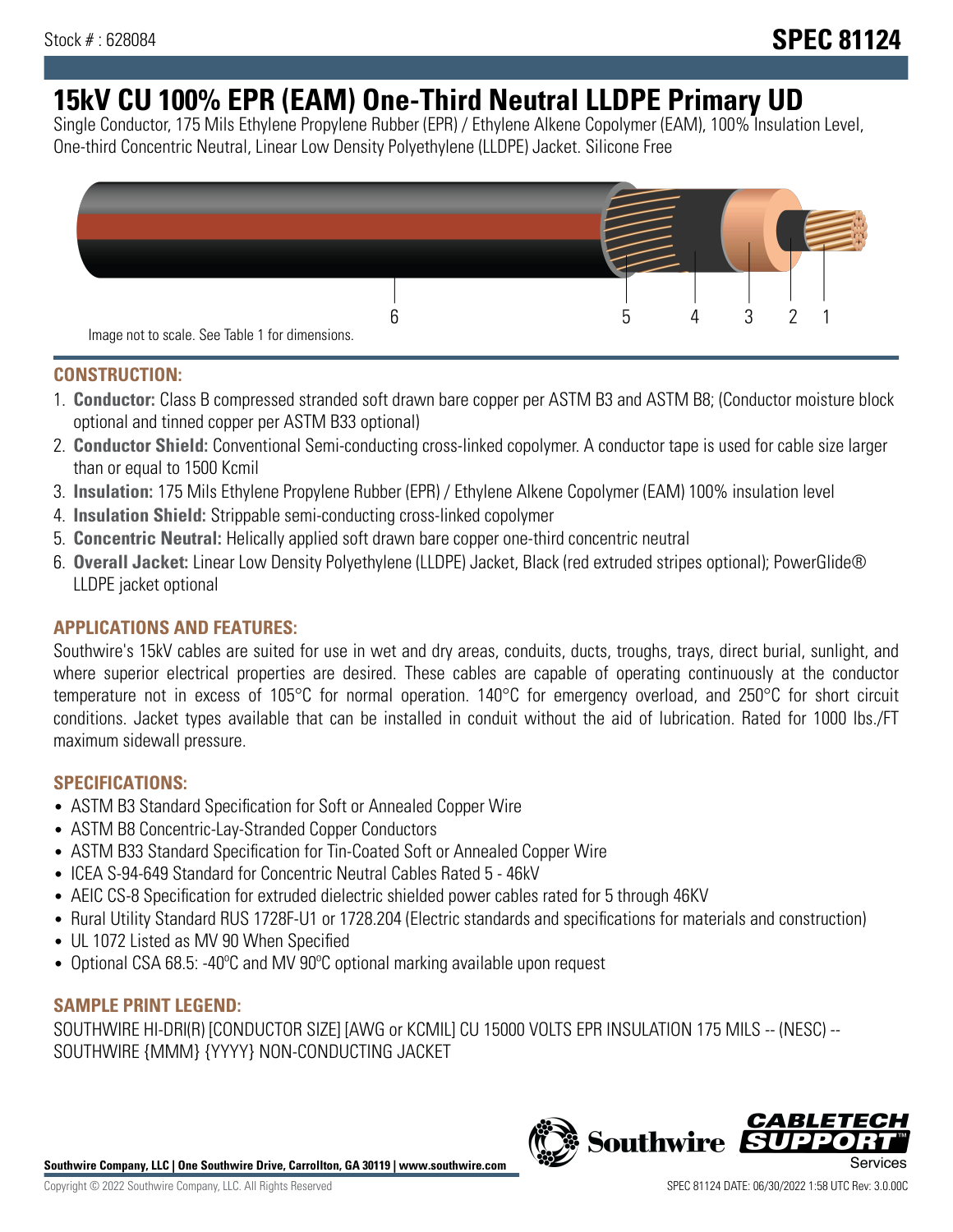# **15kV CU 100% EPR (EAM) One-Third Neutral LLDPE Primary UD**

Single Conductor, 175 Mils Ethylene Propylene Rubber (EPR) / Ethylene Alkene Copolymer (EAM), 100% Insulation Level, One-third Concentric Neutral, Linear Low Density Polyethylene (LLDPE) Jacket. Silicone Free



#### **CONSTRUCTION:**

- 1. **Conductor:** Class B compressed stranded soft drawn bare copper per ASTM B3 and ASTM B8; (Conductor moisture block optional and tinned copper per ASTM B33 optional)
- 2. **Conductor Shield:** Conventional Semi-conducting cross-linked copolymer. A conductor tape is used for cable size larger than or equal to 1500 Kcmil
- 3. **Insulation:** 175 Mils Ethylene Propylene Rubber (EPR) / Ethylene Alkene Copolymer (EAM) 100% insulation level
- 4. **Insulation Shield:** Strippable semi-conducting cross-linked copolymer
- 5. **Concentric Neutral:** Helically applied soft drawn bare copper one-third concentric neutral
- 6. **Overall Jacket:** Linear Low Density Polyethylene (LLDPE) Jacket, Black (red extruded stripes optional); PowerGlide® LLDPE jacket optional

## **APPLICATIONS AND FEATURES:**

Southwire's 15kV cables are suited for use in wet and dry areas, conduits, ducts, troughs, trays, direct burial, sunlight, and where superior electrical properties are desired. These cables are capable of operating continuously at the conductor temperature not in excess of 105°C for normal operation. 140°C for emergency overload, and 250°C for short circuit conditions. Jacket types available that can be installed in conduit without the aid of lubrication. Rated for 1000 lbs./FT maximum sidewall pressure.

## **SPECIFICATIONS:**

- ASTM B3 Standard Specification for Soft or Annealed Copper Wire
- ASTM B8 Concentric-Lay-Stranded Copper Conductors
- ASTM B33 Standard Specification for Tin-Coated Soft or Annealed Copper Wire
- ICEA S-94-649 Standard for Concentric Neutral Cables Rated 5 46kV
- AEIC CS-8 Specification for extruded dielectric shielded power cables rated for 5 through 46KV
- Rural Utility Standard RUS 1728F-U1 or 1728.204 (Electric standards and specifications for materials and construction)
- UL 1072 Listed as MV 90 When Specified
- Optional CSA 68.5: -40°C and MV 90°C optional marking available upon request

#### **SAMPLE PRINT LEGEND:**

SOUTHWIRE HI-DRI(R) [CONDUCTOR SIZE] [AWG or KCMIL] CU 15000 VOLTS EPR INSULATION 175 MILS -- (NESC) -- SOUTHWIRE {MMM} {YYYY} NON-CONDUCTING JACKET